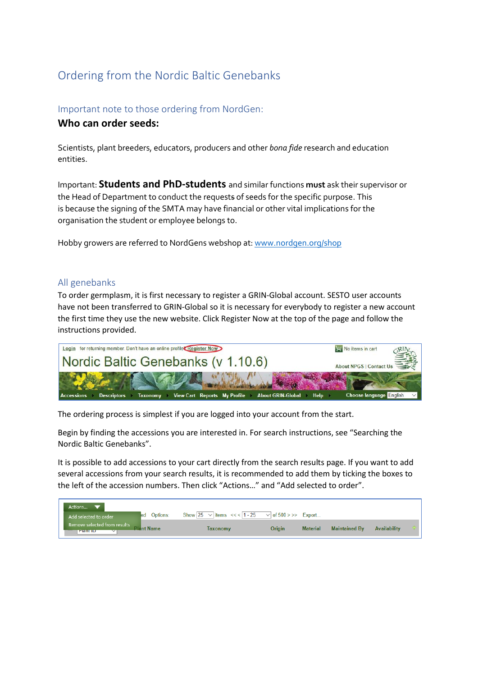# Ordering from the Nordic Baltic Genebanks

## Important note to those ordering from NordGen:

### **Who can order seeds:**

Scientists, plant breeders, educators, producers and other *bona fide* research and education entities.

Important: **Students and PhD-students** and similar functions **must** ask their supervisor or the Head of Department to conduct the requests of seeds for the specific purpose. This is because the signing of the SMTA may have financial or other vital implications for the organisation the student or employee belongs to.

Hobby growers are referred to NordGens webshop at: [www.nordgen.org/shop](http://www.nordgen.org/shop)

#### All genebanks

To order germplasm, it is first necessary to register a GRIN-Global account. SESTO user accounts have not been transferred to GRIN-Global so it is necessary for everybody to register a new account the first time they use the new website. Click Register Now at the top of the page and follow the instructions provided.



The ordering process is simplest if you are logged into your account from the start.

Begin by finding the accessions you are interested in. For search instructions, see "Searching the Nordic Baltic Genebanks".

It is possible to add accessions to your cart directly from the search results page. If you want to add several accessions from your search results, it is recommended to add them by ticking the boxes to the left of the accession numbers. Then click "Actions…" and "Add selected to order".

| Actions                                              |           |                                      |                           |                 |                      |                     |  |
|------------------------------------------------------|-----------|--------------------------------------|---------------------------|-----------------|----------------------|---------------------|--|
| led.<br>Add selected to order                        | Options:  | Show 25 $\sqrt{\tan 3}$ <<<   1 - 25 | $\vee$ of 500 > >> Export |                 |                      |                     |  |
| Remove selected from results<br><b>Plant ID</b><br>◡ | lant Name | <b>Taxonomy</b>                      | Origin                    | <b>Material</b> | <b>Maintained By</b> | <b>Availability</b> |  |